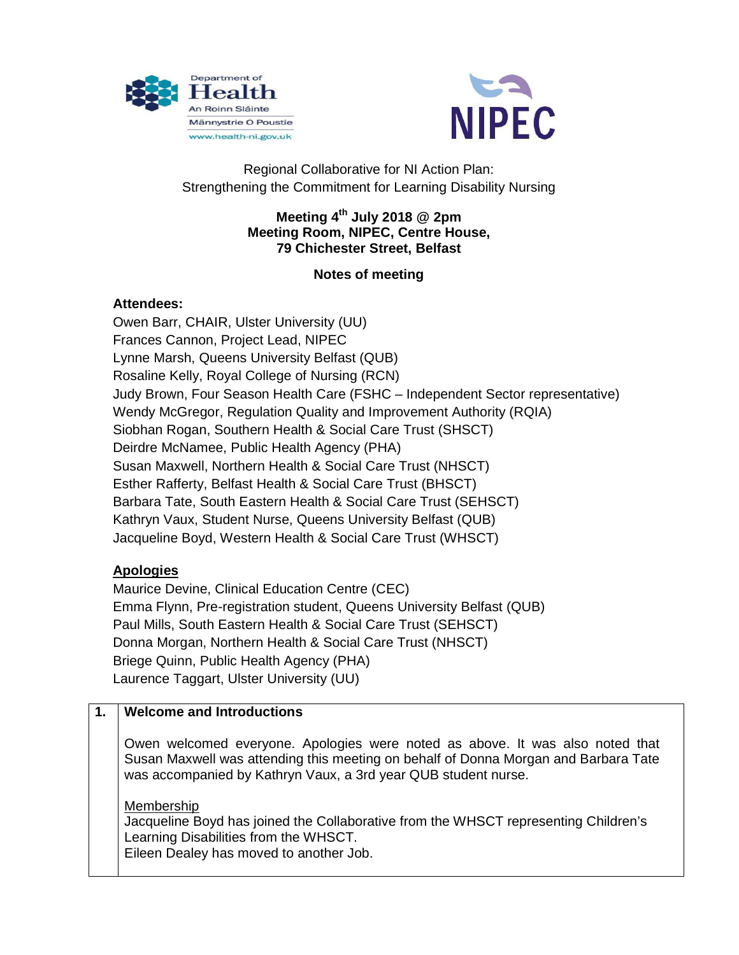



## Regional Collaborative for NI Action Plan: Strengthening the Commitment for Learning Disability Nursing

## **Meeting 4th July 2018 @ 2pm Meeting Room, NIPEC, Centre House, 79 Chichester Street, Belfast**

# **Notes of meeting**

## **Attendees:**

Owen Barr, CHAIR, Ulster University (UU) Frances Cannon, Project Lead, NIPEC Lynne Marsh, Queens University Belfast (QUB) Rosaline Kelly, Royal College of Nursing (RCN) Judy Brown, Four Season Health Care (FSHC – Independent Sector representative) Wendy McGregor, Regulation Quality and Improvement Authority (RQIA) Siobhan Rogan, Southern Health & Social Care Trust (SHSCT) Deirdre McNamee, Public Health Agency (PHA) Susan Maxwell, Northern Health & Social Care Trust (NHSCT) Esther Rafferty, Belfast Health & Social Care Trust (BHSCT) Barbara Tate, South Eastern Health & Social Care Trust (SEHSCT) Kathryn Vaux, Student Nurse, Queens University Belfast (QUB) Jacqueline Boyd, Western Health & Social Care Trust (WHSCT)

# **Apologies**

Maurice Devine, Clinical Education Centre (CEC) Emma Flynn, Pre-registration student, Queens University Belfast (QUB) Paul Mills, South Eastern Health & Social Care Trust (SEHSCT) Donna Morgan, Northern Health & Social Care Trust (NHSCT) Briege Quinn, Public Health Agency (PHA) Laurence Taggart, Ulster University (UU)

# **1. Welcome and Introductions**

Owen welcomed everyone. Apologies were noted as above. It was also noted that Susan Maxwell was attending this meeting on behalf of Donna Morgan and Barbara Tate was accompanied by Kathryn Vaux, a 3rd year QUB student nurse.

Membership

Jacqueline Boyd has joined the Collaborative from the WHSCT representing Children's Learning Disabilities from the WHSCT.

Eileen Dealey has moved to another Job.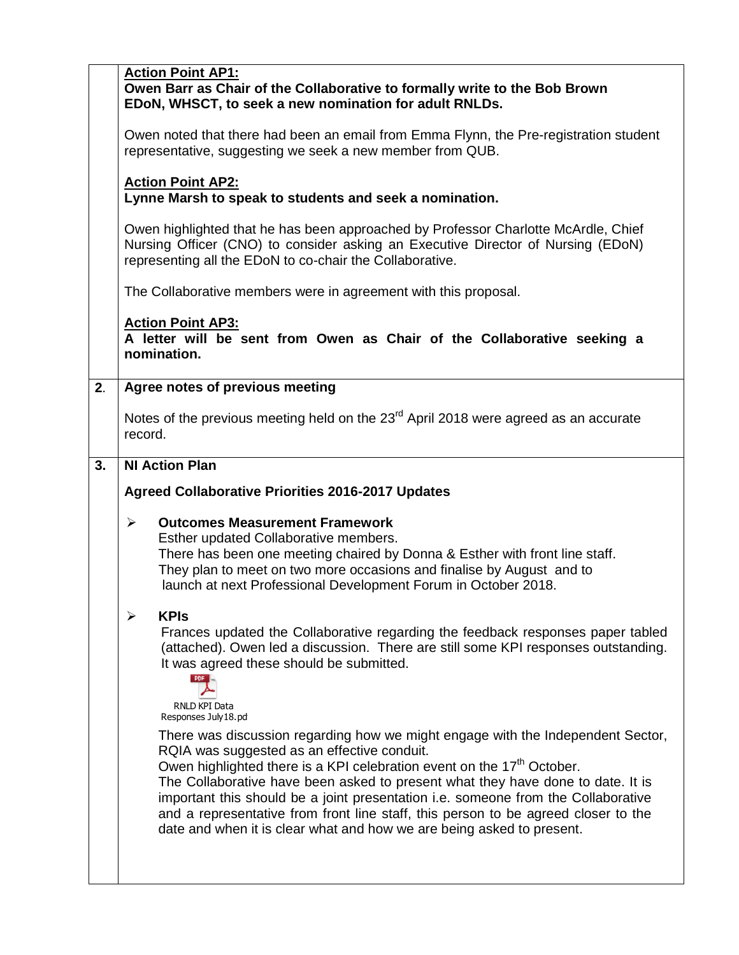|    | <b>Action Point AP1:</b><br>Owen Barr as Chair of the Collaborative to formally write to the Bob Brown<br>EDoN, WHSCT, to seek a new nomination for adult RNLDs.                                                                                                                                                                                                                                                                                                                                                                                            |  |  |  |  |
|----|-------------------------------------------------------------------------------------------------------------------------------------------------------------------------------------------------------------------------------------------------------------------------------------------------------------------------------------------------------------------------------------------------------------------------------------------------------------------------------------------------------------------------------------------------------------|--|--|--|--|
|    | Owen noted that there had been an email from Emma Flynn, the Pre-registration student<br>representative, suggesting we seek a new member from QUB.                                                                                                                                                                                                                                                                                                                                                                                                          |  |  |  |  |
|    | <b>Action Point AP2:</b><br>Lynne Marsh to speak to students and seek a nomination.                                                                                                                                                                                                                                                                                                                                                                                                                                                                         |  |  |  |  |
|    | Owen highlighted that he has been approached by Professor Charlotte McArdle, Chief<br>Nursing Officer (CNO) to consider asking an Executive Director of Nursing (EDoN)<br>representing all the EDoN to co-chair the Collaborative.                                                                                                                                                                                                                                                                                                                          |  |  |  |  |
|    | The Collaborative members were in agreement with this proposal.                                                                                                                                                                                                                                                                                                                                                                                                                                                                                             |  |  |  |  |
|    | <b>Action Point AP3:</b><br>A letter will be sent from Owen as Chair of the Collaborative seeking a<br>nomination.                                                                                                                                                                                                                                                                                                                                                                                                                                          |  |  |  |  |
| 2. | Agree notes of previous meeting                                                                                                                                                                                                                                                                                                                                                                                                                                                                                                                             |  |  |  |  |
|    | Notes of the previous meeting held on the 23 <sup>rd</sup> April 2018 were agreed as an accurate<br>record.                                                                                                                                                                                                                                                                                                                                                                                                                                                 |  |  |  |  |
| 3. | <b>NI Action Plan</b>                                                                                                                                                                                                                                                                                                                                                                                                                                                                                                                                       |  |  |  |  |
|    | <b>Agreed Collaborative Priorities 2016-2017 Updates</b>                                                                                                                                                                                                                                                                                                                                                                                                                                                                                                    |  |  |  |  |
|    | $\blacktriangleright$<br><b>Outcomes Measurement Framework</b><br>Esther updated Collaborative members.<br>There has been one meeting chaired by Donna & Esther with front line staff.<br>They plan to meet on two more occasions and finalise by August and to<br>launch at next Professional Development Forum in October 2018.                                                                                                                                                                                                                           |  |  |  |  |
|    | <b>KPIs</b><br>$\blacktriangleright$<br>Frances updated the Collaborative regarding the feedback responses paper tabled<br>(attached). Owen led a discussion. There are still some KPI responses outstanding.<br>It was agreed these should be submitted.<br>RNLD KPI Data<br>Responses July 18.pd                                                                                                                                                                                                                                                          |  |  |  |  |
|    | There was discussion regarding how we might engage with the Independent Sector,<br>RQIA was suggested as an effective conduit.<br>Owen highlighted there is a KPI celebration event on the 17 <sup>th</sup> October.<br>The Collaborative have been asked to present what they have done to date. It is<br>important this should be a joint presentation i.e. someone from the Collaborative<br>and a representative from front line staff, this person to be agreed closer to the<br>date and when it is clear what and how we are being asked to present. |  |  |  |  |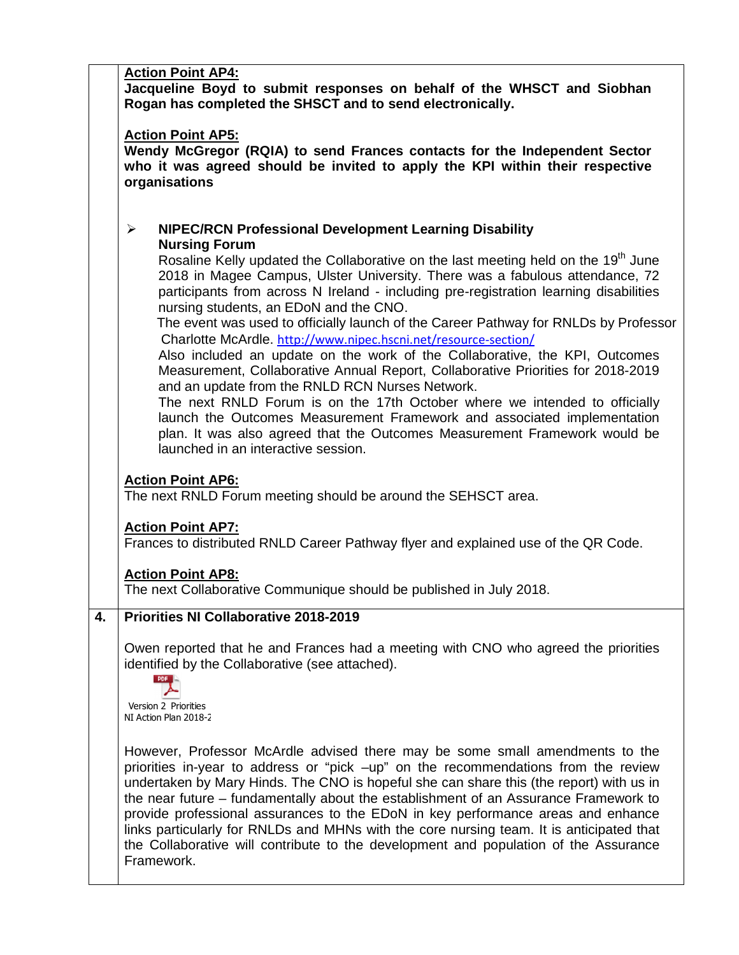|    | <b>Action Point AP4:</b><br>Jacqueline Boyd to submit responses on behalf of the WHSCT and Siobhan<br>Rogan has completed the SHSCT and to send electronically.<br><b>Action Point AP5:</b><br>Wendy McGregor (RQIA) to send Frances contacts for the Independent Sector<br>who it was agreed should be invited to apply the KPI within their respective<br>organisations                                                                                                                                                                                                                                                                                                                                                                                                                                                                                                                                                                                                                                                                                                                                                                                                                                                                                                                                                                                                                                           |  |  |
|----|---------------------------------------------------------------------------------------------------------------------------------------------------------------------------------------------------------------------------------------------------------------------------------------------------------------------------------------------------------------------------------------------------------------------------------------------------------------------------------------------------------------------------------------------------------------------------------------------------------------------------------------------------------------------------------------------------------------------------------------------------------------------------------------------------------------------------------------------------------------------------------------------------------------------------------------------------------------------------------------------------------------------------------------------------------------------------------------------------------------------------------------------------------------------------------------------------------------------------------------------------------------------------------------------------------------------------------------------------------------------------------------------------------------------|--|--|
|    |                                                                                                                                                                                                                                                                                                                                                                                                                                                                                                                                                                                                                                                                                                                                                                                                                                                                                                                                                                                                                                                                                                                                                                                                                                                                                                                                                                                                                     |  |  |
|    | <b>NIPEC/RCN Professional Development Learning Disability</b><br>$\blacktriangleright$<br><b>Nursing Forum</b><br>Rosaline Kelly updated the Collaborative on the last meeting held on the 19 <sup>th</sup> June<br>2018 in Magee Campus, Ulster University. There was a fabulous attendance, 72<br>participants from across N Ireland - including pre-registration learning disabilities<br>nursing students, an EDoN and the CNO.<br>The event was used to officially launch of the Career Pathway for RNLDs by Professor<br>Charlotte McArdle. http://www.nipec.hscni.net/resource-section/<br>Also included an update on the work of the Collaborative, the KPI, Outcomes<br>Measurement, Collaborative Annual Report, Collaborative Priorities for 2018-2019<br>and an update from the RNLD RCN Nurses Network.<br>The next RNLD Forum is on the 17th October where we intended to officially<br>launch the Outcomes Measurement Framework and associated implementation<br>plan. It was also agreed that the Outcomes Measurement Framework would be<br>launched in an interactive session.<br><b>Action Point AP6:</b><br>The next RNLD Forum meeting should be around the SEHSCT area.<br><b>Action Point AP7:</b><br>Frances to distributed RNLD Career Pathway flyer and explained use of the QR Code.<br><b>Action Point AP8:</b><br>The next Collaborative Communique should be published in July 2018. |  |  |
| 4. | <b>Priorities NI Collaborative 2018-2019</b>                                                                                                                                                                                                                                                                                                                                                                                                                                                                                                                                                                                                                                                                                                                                                                                                                                                                                                                                                                                                                                                                                                                                                                                                                                                                                                                                                                        |  |  |
|    | Owen reported that he and Frances had a meeting with CNO who agreed the priorities<br>identified by the Collaborative (see attached).<br>PDF<br>Version 2 Priorities<br>NI Action Plan 2018-2                                                                                                                                                                                                                                                                                                                                                                                                                                                                                                                                                                                                                                                                                                                                                                                                                                                                                                                                                                                                                                                                                                                                                                                                                       |  |  |
|    | However, Professor McArdle advised there may be some small amendments to the<br>priorities in-year to address or "pick -up" on the recommendations from the review<br>undertaken by Mary Hinds. The CNO is hopeful she can share this (the report) with us in<br>the near future – fundamentally about the establishment of an Assurance Framework to<br>provide professional assurances to the EDoN in key performance areas and enhance<br>links particularly for RNLDs and MHNs with the core nursing team. It is anticipated that                                                                                                                                                                                                                                                                                                                                                                                                                                                                                                                                                                                                                                                                                                                                                                                                                                                                               |  |  |

the Collaborative will contribute to the development and population of the Assurance

Framework.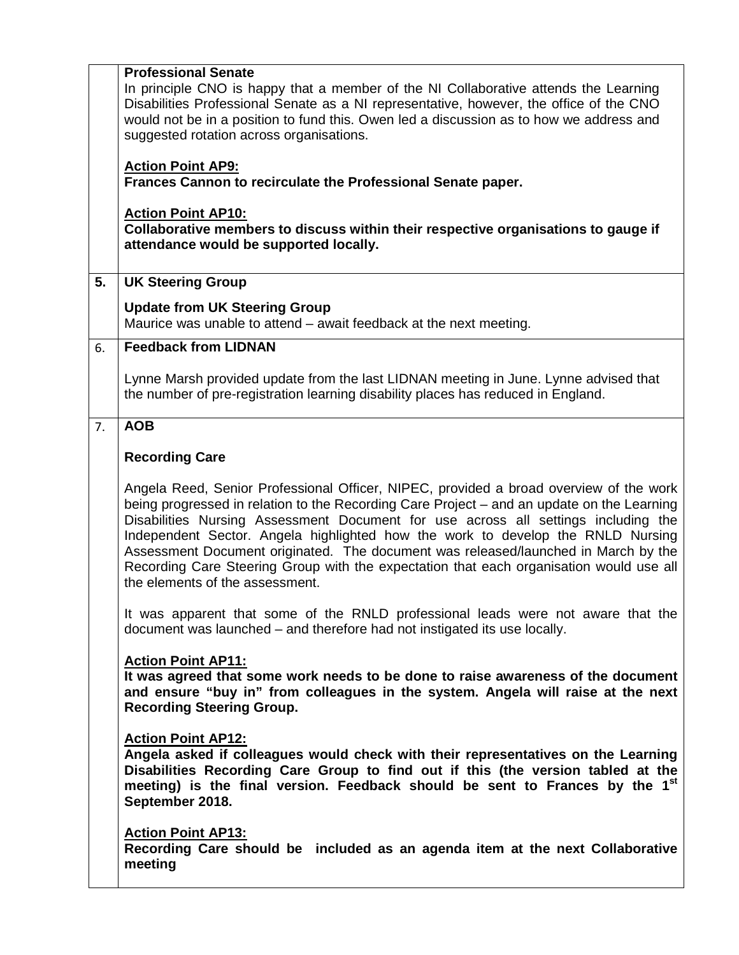|    | <b>Professional Senate</b><br>In principle CNO is happy that a member of the NI Collaborative attends the Learning<br>Disabilities Professional Senate as a NI representative, however, the office of the CNO<br>would not be in a position to fund this. Owen led a discussion as to how we address and<br>suggested rotation across organisations.<br><b>Action Point AP9:</b><br>Frances Cannon to recirculate the Professional Senate paper.<br><b>Action Point AP10:</b>                                                                                                     |  |  |  |
|----|-----------------------------------------------------------------------------------------------------------------------------------------------------------------------------------------------------------------------------------------------------------------------------------------------------------------------------------------------------------------------------------------------------------------------------------------------------------------------------------------------------------------------------------------------------------------------------------|--|--|--|
|    | Collaborative members to discuss within their respective organisations to gauge if<br>attendance would be supported locally.                                                                                                                                                                                                                                                                                                                                                                                                                                                      |  |  |  |
| 5. | <b>UK Steering Group</b>                                                                                                                                                                                                                                                                                                                                                                                                                                                                                                                                                          |  |  |  |
|    | <b>Update from UK Steering Group</b><br>Maurice was unable to attend - await feedback at the next meeting.                                                                                                                                                                                                                                                                                                                                                                                                                                                                        |  |  |  |
| 6. | <b>Feedback from LIDNAN</b>                                                                                                                                                                                                                                                                                                                                                                                                                                                                                                                                                       |  |  |  |
|    | Lynne Marsh provided update from the last LIDNAN meeting in June. Lynne advised that<br>the number of pre-registration learning disability places has reduced in England.                                                                                                                                                                                                                                                                                                                                                                                                         |  |  |  |
| 7. | <b>AOB</b>                                                                                                                                                                                                                                                                                                                                                                                                                                                                                                                                                                        |  |  |  |
|    | <b>Recording Care</b>                                                                                                                                                                                                                                                                                                                                                                                                                                                                                                                                                             |  |  |  |
|    | Angela Reed, Senior Professional Officer, NIPEC, provided a broad overview of the work<br>being progressed in relation to the Recording Care Project - and an update on the Learning<br>Disabilities Nursing Assessment Document for use across all settings including the<br>Independent Sector. Angela highlighted how the work to develop the RNLD Nursing<br>Assessment Document originated. The document was released/launched in March by the<br>Recording Care Steering Group with the expectation that each organisation would use all<br>the elements of the assessment. |  |  |  |
|    | It was apparent that some of the RNLD professional leads were not aware that the<br>document was launched – and therefore had not instigated its use locally.                                                                                                                                                                                                                                                                                                                                                                                                                     |  |  |  |
|    | <b>Action Point AP11:</b><br>It was agreed that some work needs to be done to raise awareness of the document<br>and ensure "buy in" from colleagues in the system. Angela will raise at the next<br><b>Recording Steering Group.</b>                                                                                                                                                                                                                                                                                                                                             |  |  |  |
|    | <b>Action Point AP12:</b><br>Angela asked if colleagues would check with their representatives on the Learning<br>Disabilities Recording Care Group to find out if this (the version tabled at the<br>meeting) is the final version. Feedback should be sent to Frances by the 1 <sup>st</sup><br>September 2018.                                                                                                                                                                                                                                                                 |  |  |  |
|    | <b>Action Point AP13:</b><br>Recording Care should be included as an agenda item at the next Collaborative<br>meeting                                                                                                                                                                                                                                                                                                                                                                                                                                                             |  |  |  |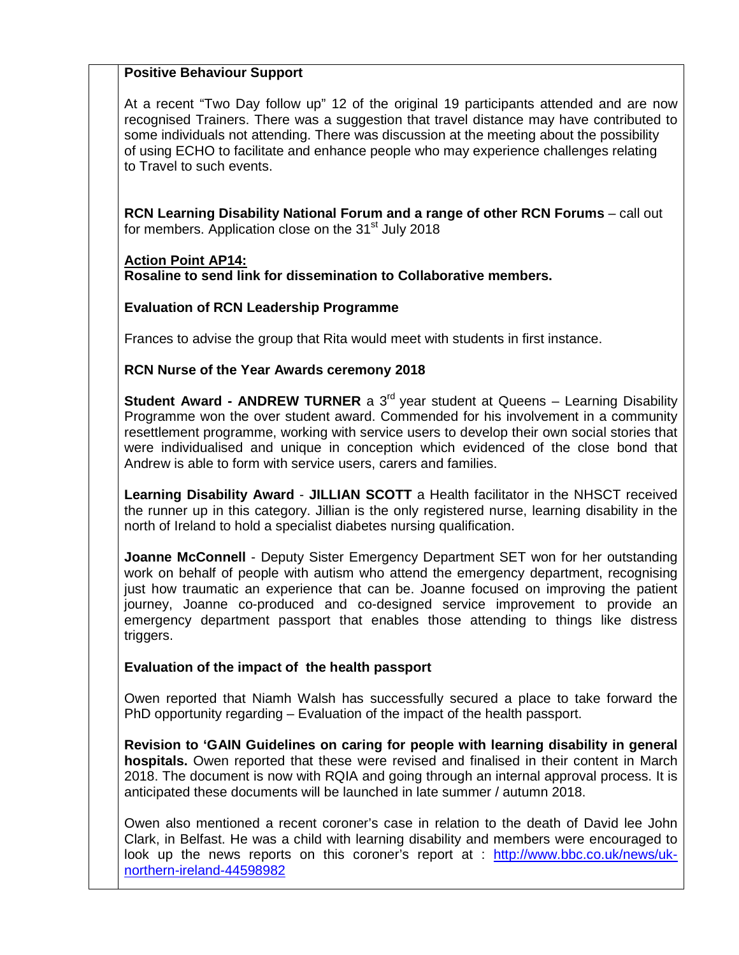## **Positive Behaviour Support**

At a recent "Two Day follow up" 12 of the original 19 participants attended and are now recognised Trainers. There was a suggestion that travel distance may have contributed to some individuals not attending. There was discussion at the meeting about the possibility of using ECHO to facilitate and enhance people who may experience challenges relating to Travel to such events.

**RCN Learning Disability National Forum and a range of other RCN Forums** – call out for members. Application close on the 31<sup>st</sup> July 2018

## **Action Point AP14:**

**Rosaline to send link for dissemination to Collaborative members.** 

## **Evaluation of RCN Leadership Programme**

Frances to advise the group that Rita would meet with students in first instance.

## **RCN Nurse of the Year Awards ceremony 2018**

**Student Award - ANDREW TURNER** a 3<sup>rd</sup> year student at Queens – Learning Disability Programme won the over student award. Commended for his involvement in a community resettlement programme, working with service users to develop their own social stories that were individualised and unique in conception which evidenced of the close bond that Andrew is able to form with service users, carers and families.

**Learning Disability Award** - **JILLIAN SCOTT** a Health facilitator in the NHSCT received the runner up in this category. Jillian is the only registered nurse, learning disability in the north of Ireland to hold a specialist diabetes nursing qualification.

**Joanne McConnell** - Deputy Sister Emergency Department SET won for her outstanding work on behalf of people with autism who attend the emergency department, recognising just how traumatic an experience that can be. Joanne focused on improving the patient journey, Joanne co-produced and co-designed service improvement to provide an emergency department passport that enables those attending to things like distress triggers.

## **Evaluation of the impact of the health passport**

Owen reported that Niamh Walsh has successfully secured a place to take forward the PhD opportunity regarding – Evaluation of the impact of the health passport.

**Revision to 'GAIN Guidelines on caring for people with learning disability in general hospitals.** Owen reported that these were revised and finalised in their content in March 2018. The document is now with RQIA and going through an internal approval process. It is anticipated these documents will be launched in late summer / autumn 2018.

Owen also mentioned a recent coroner's case in relation to the death of David lee John Clark, in Belfast. He was a child with learning disability and members were encouraged to look up the news reports on this coroner's report at : http://www.bbc.co.uk/news/uknorthern-ireland-44598982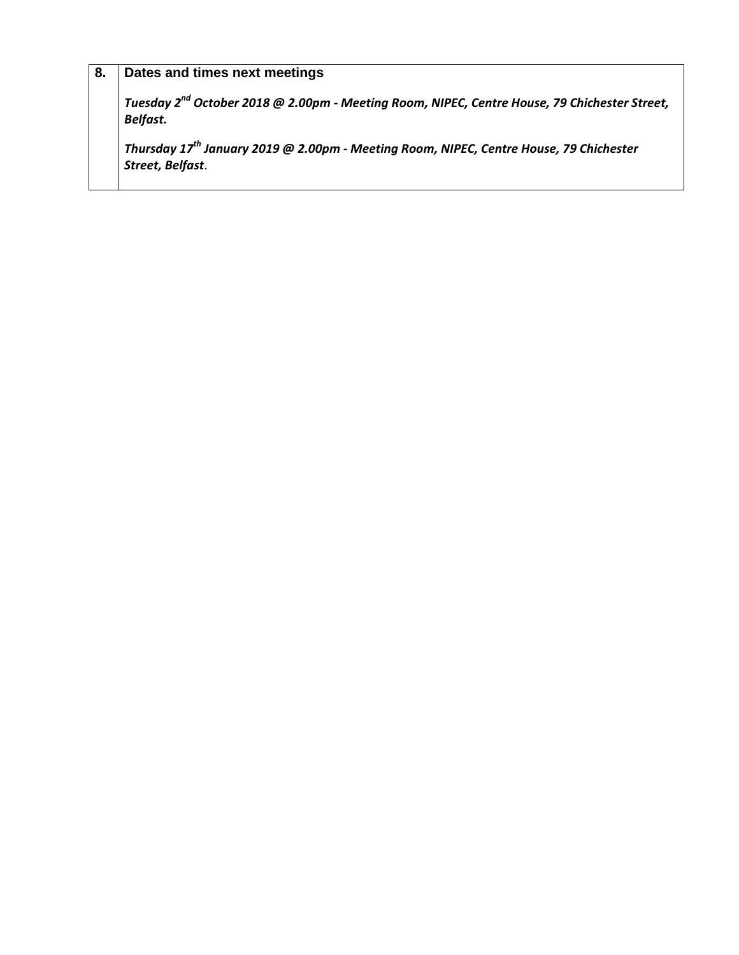# **8. Dates and times next meetings**

*Tuesday 2nd October 2018 @ 2.00pm - Meeting Room, NIPEC, Centre House, 79 Chichester Street, Belfast.* 

*Thursday 17th January 2019 @ 2.00pm - Meeting Room, NIPEC, Centre House, 79 Chichester Street, Belfast*.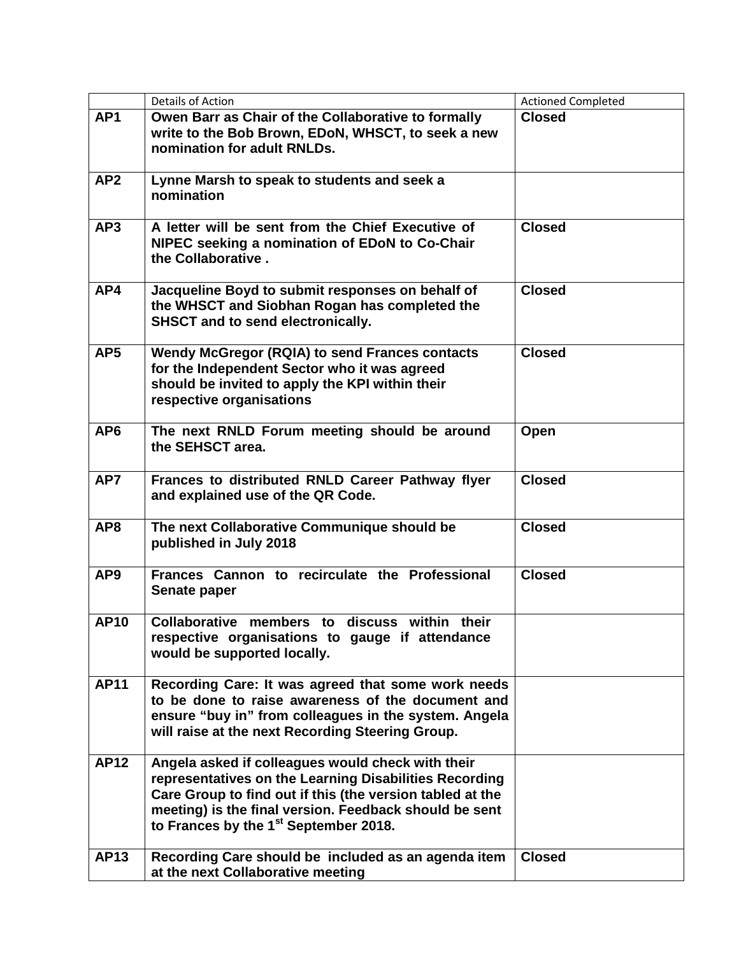|                 | <b>Details of Action</b>                                                                                                                                                                                                                                                                | <b>Actioned Completed</b> |
|-----------------|-----------------------------------------------------------------------------------------------------------------------------------------------------------------------------------------------------------------------------------------------------------------------------------------|---------------------------|
| AP <sub>1</sub> | Owen Barr as Chair of the Collaborative to formally<br>write to the Bob Brown, EDoN, WHSCT, to seek a new<br>nomination for adult RNLDs.                                                                                                                                                | <b>Closed</b>             |
| AP <sub>2</sub> | Lynne Marsh to speak to students and seek a<br>nomination                                                                                                                                                                                                                               |                           |
| AP3             | A letter will be sent from the Chief Executive of<br>NIPEC seeking a nomination of EDoN to Co-Chair<br>the Collaborative.                                                                                                                                                               | <b>Closed</b>             |
| AP4             | Jacqueline Boyd to submit responses on behalf of<br>the WHSCT and Siobhan Rogan has completed the<br>SHSCT and to send electronically.                                                                                                                                                  | <b>Closed</b>             |
| AP <sub>5</sub> | Wendy McGregor (RQIA) to send Frances contacts<br>for the Independent Sector who it was agreed<br>should be invited to apply the KPI within their<br>respective organisations                                                                                                           | <b>Closed</b>             |
| AP <sub>6</sub> | The next RNLD Forum meeting should be around<br>the SEHSCT area.                                                                                                                                                                                                                        | Open                      |
| AP7             | Frances to distributed RNLD Career Pathway flyer<br>and explained use of the QR Code.                                                                                                                                                                                                   | <b>Closed</b>             |
| AP8             | The next Collaborative Communique should be<br>published in July 2018                                                                                                                                                                                                                   | <b>Closed</b>             |
| AP <sub>9</sub> | Frances Cannon to recirculate the Professional<br>Senate paper                                                                                                                                                                                                                          | <b>Closed</b>             |
| <b>AP10</b>     | Collaborative members to discuss within their<br>respective organisations to gauge if attendance<br>would be supported locally.                                                                                                                                                         |                           |
| <b>AP11</b>     | Recording Care: It was agreed that some work needs<br>to be done to raise awareness of the document and<br>ensure "buy in" from colleagues in the system. Angela<br>will raise at the next Recording Steering Group.                                                                    |                           |
| <b>AP12</b>     | Angela asked if colleagues would check with their<br>representatives on the Learning Disabilities Recording<br>Care Group to find out if this (the version tabled at the<br>meeting) is the final version. Feedback should be sent<br>to Frances by the 1 <sup>st</sup> September 2018. |                           |
| <b>AP13</b>     | Recording Care should be included as an agenda item<br>at the next Collaborative meeting                                                                                                                                                                                                | <b>Closed</b>             |